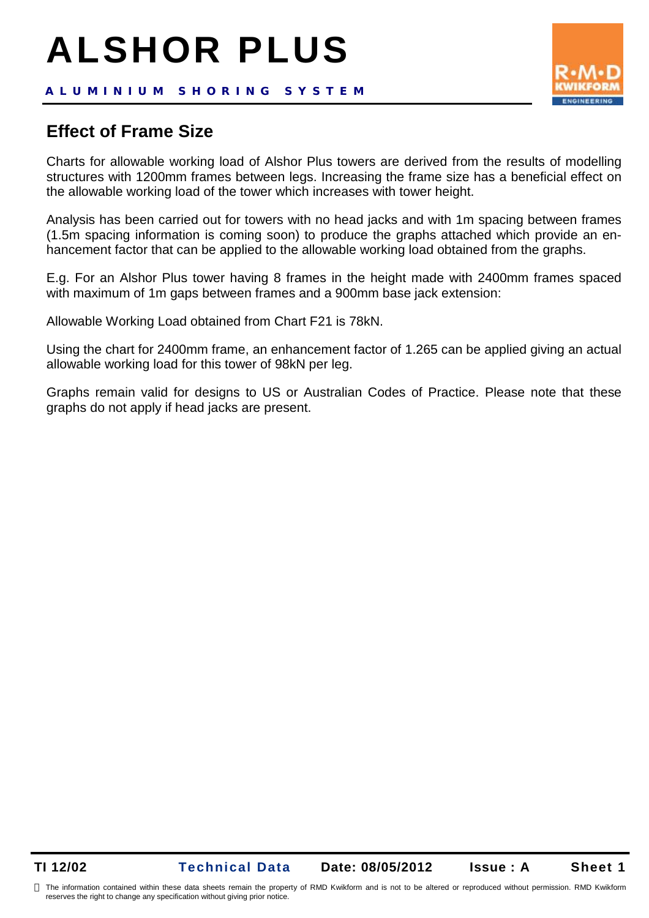# **ALSHOR PLUS**

### **Effect of Frame Size**

Charts for allowable working load of Alshor Plus towers are derived from the results of modelling structures with 1200mm frames between legs. Increasing the frame size has a beneficial effect on the allowable working load of the tower which increases with tower height.

Analysis has been carried out for towers with no head jacks and with 1m spacing between frames (1.5m spacing information is coming soon) to produce the graphs attached which provide an enhancement factor that can be applied to the allowable working load obtained from the graphs.

E.g. For an Alshor Plus tower having 8 frames in the height made with 2400mm frames spaced with maximum of 1m gaps between frames and a 900mm base jack extension:

Allowable Working Load obtained from Chart F21 is 78kN.

Using the chart for 2400mm frame, an enhancement factor of 1.265 can be applied giving an actual allowable working load for this tower of 98kN per leg.

Graphs remain valid for designs to US or Australian Codes of Practice. Please note that these graphs do not apply if head jacks are present.

reserves the right to change any specification without giving prior notice.

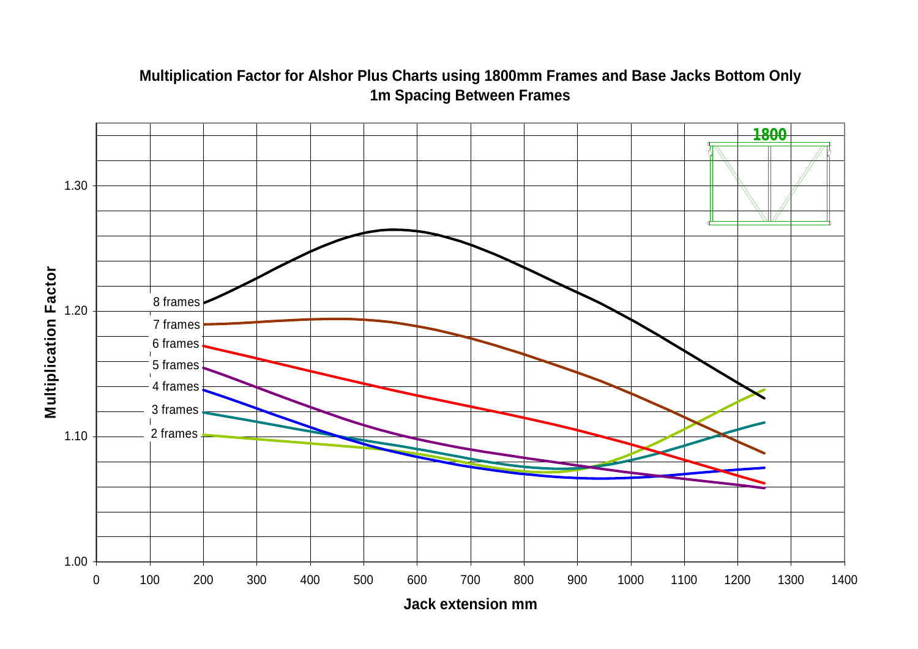## $1.00 -$ 1.10 1.20 1.30 0 100 200 300 400 500 600 700 800 900 1000 1100 1200 1300 1400 **Σ ultiplicatio nFactor** 4 frames 5 frames 6 frames 7 frames 8 frames 3 frames 2 frames **1800**

#### **Multiplication Factor for Alshor Plus Charts using 1800mm Frames and Base Jacks Bottom Only 1m Spacing Between Frames**

**Jack extension mm**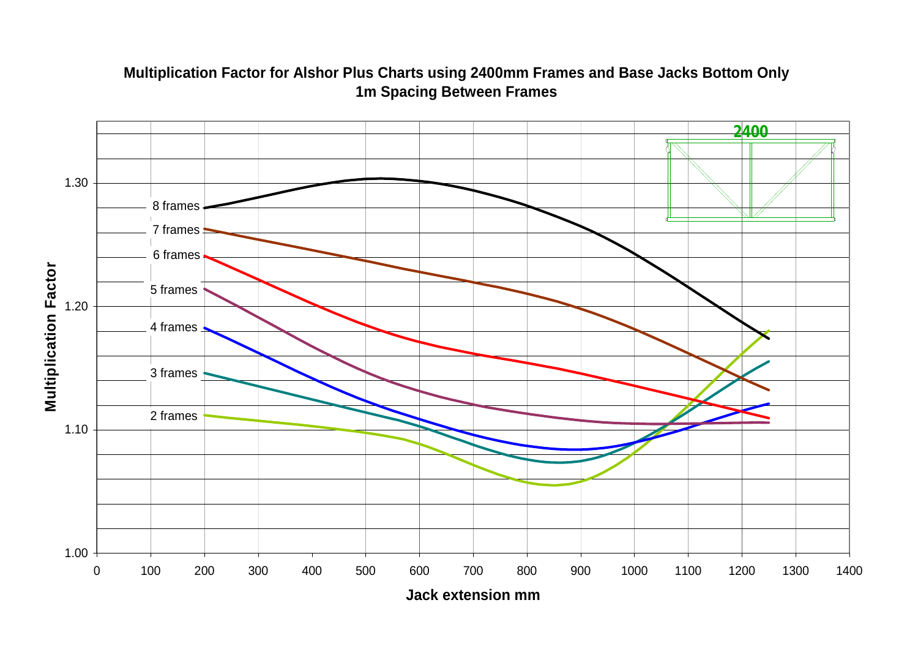

#### **Multiplication Factor for Alshor Plus Charts using 2400mm Frames and Base Jacks Bottom Only 1m Spacing Between Frames**